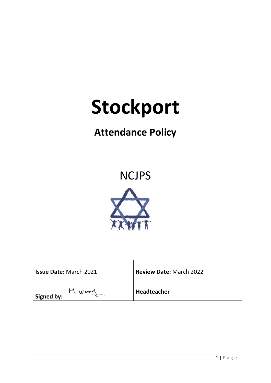# **Stockport**

# **Attendance Policy**

# **NCJPS**



| <b>Issue Date: March 2021</b> | <b>Review Date: March 2022</b> |
|-------------------------------|--------------------------------|
| M. Wood<br><b>Signed by:</b>  | Headteacher                    |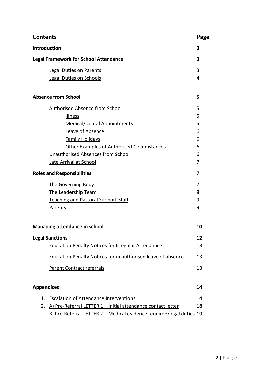| <b>Contents</b>                   |                                                                      | Page |
|-----------------------------------|----------------------------------------------------------------------|------|
| <b>Introduction</b>               |                                                                      | 3    |
|                                   | <b>Legal Framework for School Attendance</b>                         | 3    |
|                                   | <b>Legal Duties on Parents</b>                                       | 3    |
|                                   | <b>Legal Duties on Schools</b>                                       | 4    |
|                                   | <b>Absence from School</b>                                           | 5    |
|                                   | <b>Authorised Absence from School</b>                                | 5    |
|                                   | Illness                                                              | 5    |
|                                   | <b>Medical/Dental Appointments</b>                                   | 5    |
|                                   | Leave of Absence                                                     | 6    |
|                                   | <b>Family Holidays</b>                                               | 6    |
|                                   | <b>Other Examples of Authorised Circumstances</b>                    | 6    |
|                                   | <b>Unauthorised Absences from School</b>                             | 6    |
|                                   | Late Arrival at School                                               | 7    |
| <b>Roles and Responsibilities</b> |                                                                      | 7    |
|                                   | <b>The Governing Body</b>                                            | 7    |
|                                   | <b>The Leadership Team</b>                                           | 8    |
|                                   | <b>Teaching and Pastoral Support Staff</b>                           | 9    |
|                                   | Parents                                                              | 9    |
|                                   | Managing attendance in school                                        | 10   |
|                                   | <b>Legal Sanctions</b>                                               | 12   |
|                                   | <b>Education Penalty Notices for Irregular Attendance</b>            | 13   |
|                                   | Education Penalty Notices for unauthorised leave of absence          | 13   |
|                                   | Parent Contract referrals                                            | 13   |
| <b>Appendices</b>                 |                                                                      | 14   |
| 1.                                | <b>Escalation of Attendance Interventions</b>                        | 14   |
| 2.                                | A) Pre-Referral LETTER 1 - Initial attendance contact letter         | 18   |
|                                   | B) Pre-Referral LETTER 2 - Medical evidence required/legal duties 19 |      |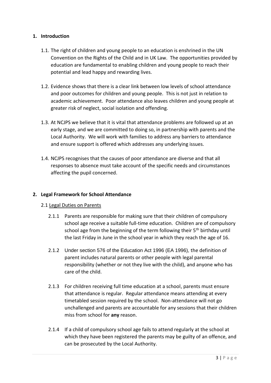# **1. Introduction**

- 1.1. The right of children and young people to an education is enshrined in the UN Convention on the Rights of the Child and in UK Law. The opportunities provided by education are fundamental to enabling children and young people to reach their potential and lead happy and rewarding lives.
- 1.2. Evidence shows that there is a clear link between low levels of school attendance and poor outcomes for children and young people. This is not just in relation to academic achievement. Poor attendance also leaves children and young people at greater risk of neglect, social isolation and offending.
- 1.3. At NCJPS we believe that it is vital that attendance problems are followed up at an early stage, and we are committed to doing so, in partnership with parents and the Local Authority. We will work with families to address any barriers to attendance and ensure support is offered which addresses any underlying issues.
- 1.4. NCJPS recognises that the causes of poor attendance are diverse and that all responses to absence must take account of the specific needs and circumstances affecting the pupil concerned.

# **2. Legal Framework for School Attendance**

# 2.1 Legal Duties on Parents

- 2.1.1 Parents are responsible for making sure that their children of compulsory school age receive a suitable full-time education. Children are of compulsory school age from the beginning of the term following their  $5<sup>th</sup>$  birthday until the last Friday in June in the school year in which they reach the age of 16.
- 2.1.2 Under section 576 of the Education Act 1996 (EA 1996), the definition of parent includes natural parents or other people with legal parental responsibility (whether or not they live with the child), and anyone who has care of the child.
- 2.1.3 For children receiving full time education at a school, parents must ensure that attendance is regular. Regular attendance means attending at every timetabled session required by the school. Non-attendance will not go unchallenged and parents are accountable for any sessions that their children miss from school for **any** reason.
- 2.1.4 If a child of compulsory school age fails to attend regularly at the school at which they have been registered the parents may be guilty of an offence, and can be prosecuted by the Local Authority.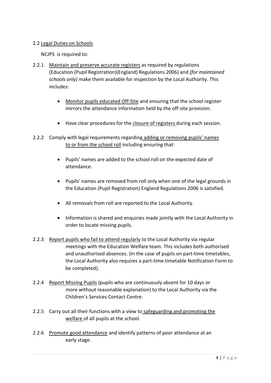# 2.2 Legal Duties on Schools

NCJPS is required to:

- 2.2.1 Maintain and preserve accurate registers as required by regulations (Education (Pupil Registration)(England) Regulations 2006) and *(for maintained schools only)* make them available for inspection by the Local Authority. This includes:
	- Monitor pupils educated Off-Site and ensuring that the school register mirrors the attendance information held by the off-site provision.
	- Have clear procedures for the closure of registers during each session.
- 2.2.2 Comply with legal requirements regarding adding or removing pupils' names to or from the school roll including ensuring that:
	- Pupils' names are added to the school roll on the expected date of attendance.
	- Pupils' names are removed from roll only when one of the legal grounds in the Education (Pupil Registration) England Regulations 2006 is satisfied.
	- All removals from roll are reported to the Local Authority.
	- Information is shared and enquiries made jointly with the Local Authority in order to locate missing pupils.
- 2.2.3 Report pupils who fail to attend regularly to the Local Authority via regular meetings with the Education Welfare team. This includes both authorised and unauthorised absences. (In the case of pupils on part-time timetables, the Local Authority also requires a part-time timetable Notification Form to be completed).
- 2.2.4 Report Missing Pupils (pupils who are continuously absent for 10 days or more without reasonable explanation) to the Local Authority via the Children's Services Contact Centre.
- 2.2.5 Carry out all their functions with a view to safeguarding and promoting the welfare of all pupils at the school.
- 2.2.6 Promote good attendance and identify patterns of poor attendance at an early stage.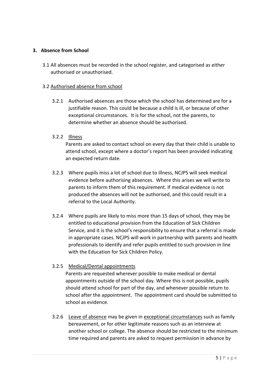# **3. Absence from School**

3.1 All absences must be recorded in the school register, and categorised as either authorised or unauthorised.

# 3.2 Authorised absence from school

3.2.1 Authorised absences are those which the school has determined are for a justifiable reason. This could be because a child is ill, or because of other exceptional circumstances. It is for the school, not the parents, to determine whether an absence should be authorised.

# 3.2.2 Illness

Parents are asked to contact school on every day that their child is unable to attend school, except where a doctor's report has been provided indicating an expected return date.

- 3.2.3 Where pupils miss a lot of school due to illness, NCJPS will seek medical evidence before authorising absences. Where this arises we will write to parents to inform them of this requirement. If medical evidence is not produced the absences will not be authorised, and this could result in a referral to the Local Authority.
- 3.2.4 Where pupils are likely to miss more than 15 days of school, they may be entitled to educational provision from the Education of Sick Children Service, and it is the school's responsibility to ensure that a referral is made in appropriate cases. NCJPS will work in partnership with parents and health professionals to identify and refer pupils entitled to such provision in line with the Education for Sick Children Policy.

# 3.2.5 Medical/Dental appointments

Parents are requested wherever possible to make medical or dental appointments outside of the school day. Where this is not possible, pupils should attend school for part of the day, and whenever possible return to school after the appointment. The appointment card should be submitted to school as evidence.

3.2.6 Leave of absence may be given in exceptional circumstances such as family bereavement, or for other legitimate reasons such as an interview at another school or college. The absence should be restricted to the minimum time required and parents are asked to request permission in advance by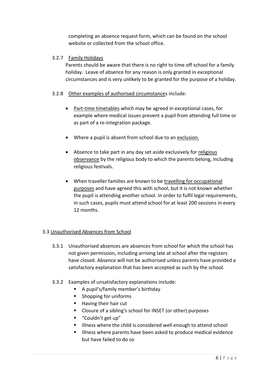completing an absence request form, which can be found on the school website or collected from the school office.

# 3.2.7 Family Holidays

Parents should be aware that there is no right to time off school for a family holiday. Leave of absence for any reason is only granted in exceptional circumstances and is very unlikely to be granted for the purpose of a holiday.

# 3.2.8 Other examples of authorised circumstances include:

- Part-time timetables which may be agreed in exceptional cases, for example where medical issues prevent a pupil from attending full time or as part of a re-integration package.
- Where a pupil is absent from school due to an exclusion.
- Absence to take part in any day set aside exclusively for religious observance by the religious body to which the parents belong, including religious festivals.
- When traveller families are known to be travelling for occupational purposes and have agreed this with school, but it is not known whether the pupil is attending another school. In order to fulfil legal requirements, in such cases, pupils must attend school for at least 200 sessions in every 12 months.

# 3.3 Unauthorised Absences from School

- 3.3.1 Unauthorised absences are absences from school for which the school has not given permission, including arriving late at school after the registers have closed. Absence will not be authorised unless parents have provided a satisfactory explanation that has been accepted as such by the school.
- 3.3.2 Examples of unsatisfactory explanations include:
	- A pupil's/family member's birthday
	- Shopping for uniforms
	- Having their hair cut
	- Closure of a sibling's school for INSET (or other) purposes
	- "Couldn't get up"
	- Illness where the child is considered well enough to attend school
	- Illness where parents have been asked to produce medical evidence but have failed to do so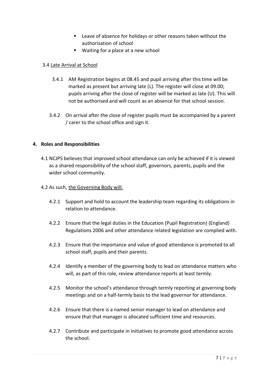- Leave of absence for holidays or other reasons taken without the authorisation of school
- Waiting for a place at a new school

# 3.4 Late Arrival at School

- 3.4.1 AM Registration begins at 08.45 and pupil arriving after this time will be marked as present but arriving late (L). The register will close at 09.00; pupils arriving after the close of register will be marked as late (U). This will not be authorised and will count as an absence for that school session.
- 3.4.2 On arrival after the close of register pupils must be accompanied by a parent / carer to the school office and sign it.

# **4. Roles and Responsibilities**

4.1 NCJPS believes that improved school attendance can only be achieved if it is viewed as a shared responsibility of the school staff, governors, parents, pupils and the wider school community.

# 4.2 As such, the Governing Body will:

- 4.2.1 Support and hold to account the leadership team regarding its obligations in relation to attendance.
- 4.2.2 Ensure that the legal duties in the Education (Pupil Registration) (England) Regulations 2006 and other attendance related legislation are complied with.
- 4.2.3 Ensure that the importance and value of good attendance is promoted to all school staff, pupils and their parents.
- 4.2.4 Identify a member of the governing body to lead on attendance matters who will, as part of this role, review attendance reports at least termly.
- 4.2.5 Monitor the school's attendance through termly reporting at governing body meetings and on a half-termly basis to the lead governor for attendance.
- 4.2.6 Ensure that there is a named senior manager to lead on attendance and ensure that that manager is allocated sufficient time and resources.
- 4.2.7 Contribute and participate in initiatives to promote good attendance across the school.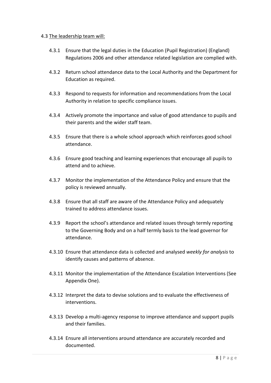# 4.3 The leadership team will:

- 4.3.1 Ensure that the legal duties in the Education (Pupil Registration) (England) Regulations 2006 and other attendance related legislation are complied with.
- 4.3.2 Return school attendance data to the Local Authority and the Department for Education as required.
- 4.3.3 Respond to requests for information and recommendations from the Local Authority in relation to specific compliance issues.
- 4.3.4 Actively promote the importance and value of good attendance to pupils and their parents and the wider staff team.
- 4.3.5 Ensure that there is a whole school approach which reinforces good school attendance.
- 4.3.6 Ensure good teaching and learning experiences that encourage all pupils to attend and to achieve.
- 4.3.7 Monitor the implementation of the Attendance Policy and ensure that the policy is reviewed annually.
- 4.3.8 Ensure that all staff are aware of the Attendance Policy and adequately trained to address attendance issues.
- 4.3.9 Report the school's attendance and related issues through termly reporting to the Governing Body and on a half termly basis to the lead governor for attendance.
- 4.3.10 Ensure that attendance data is collected and analysed *weekly for analysis* to identify causes and patterns of absence.
- 4.3.11 Monitor the implementation of the Attendance Escalation Interventions (See Appendix One).
- 4.3.12 Interpret the data to devise solutions and to evaluate the effectiveness of interventions.
- 4.3.13 Develop a multi-agency response to improve attendance and support pupils and their families.
- 4.3.14 Ensure all interventions around attendance are accurately recorded and documented.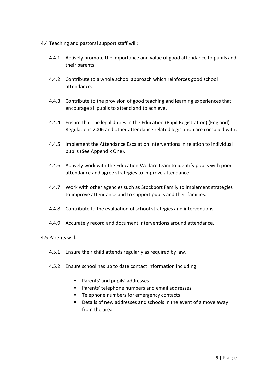# 4.4 Teaching and pastoral support staff will:

- 4.4.1 Actively promote the importance and value of good attendance to pupils and their parents.
- 4.4.2 Contribute to a whole school approach which reinforces good school attendance.
- 4.4.3 Contribute to the provision of good teaching and learning experiences that encourage all pupils to attend and to achieve.
- 4.4.4 Ensure that the legal duties in the Education (Pupil Registration) (England) Regulations 2006 and other attendance related legislation are complied with.
- 4.4.5 Implement the Attendance Escalation Interventions in relation to individual pupils (See Appendix One).
- 4.4.6 Actively work with the Education Welfare team to identify pupils with poor attendance and agree strategies to improve attendance.
- 4.4.7 Work with other agencies such as Stockport Family to implement strategies to improve attendance and to support pupils and their families.
- 4.4.8 Contribute to the evaluation of school strategies and interventions.
- 4.4.9 Accurately record and document interventions around attendance.

## 4.5 Parents will:

- 4.5.1 Ensure their child attends regularly as required by law.
- 4.5.2 Ensure school has up to date contact information including:
	- Parents' and pupils' addresses
	- Parents' telephone numbers and email addresses
	- Telephone numbers for emergency contacts
	- Details of new addresses and schools in the event of a move away from the area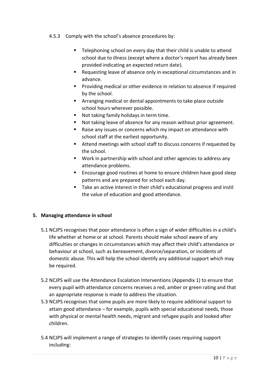# 4.5.3 Comply with the school's absence procedures by:

- Telephoning school on every day that their child is unable to attend school due to illness (except where a doctor's report has already been provided indicating an expected return date).
- Requesting leave of absence only in exceptional circumstances and in advance.
- Providing medical or other evidence in relation to absence if required by the school.
- Arranging medical or dental appointments to take place outside school hours wherever possible.
- Not taking family holidays in term time.
- Not taking leave of absence for any reason without prior agreement.
- Raise any issues or concerns which my impact on attendance with school staff at the earliest opportunity.
- Attend meetings with school staff to discuss concerns if requested by the school.
- Work in partnership with school and other agencies to address any attendance problems.
- Encourage good routines at home to ensure children have good sleep patterns and are prepared for school each day.
- Take an active interest in their child's educational progress and instil the value of education and good attendance.

# **5. Managing attendance in school**

- 5.1 NCJPS recognises that poor attendance is often a sign of wider difficulties in a child's life whether at home or at school. Parents should make school aware of any difficulties or changes in circumstances which may affect their child's attendance or behaviour at school, such as bereavement, divorce/separation, or incidents of domestic abuse. This will help the school identify any additional support which may be required.
- 5.2 NCJPS will use the Attendance Escalation Interventions (Appendix 1) to ensure that every pupil with attendance concerns receives a red, amber or green rating and that an appropriate response is made to address the situation.
- 5.3 NCJPS recognises that some pupils are more likely to require additional support to attain good attendance – for example, pupils with special educational needs, those with physical or mental health needs, migrant and refugee pupils and looked after children.
- 5.4 NCJPS will implement a range of strategies to identify cases requiring support including: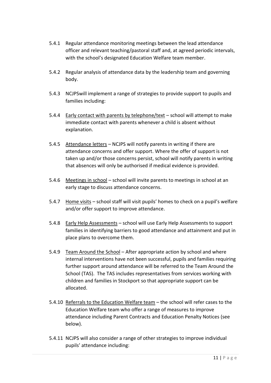- 5.4.1 Regular attendance monitoring meetings between the lead attendance officer and relevant teaching/pastoral staff and, at agreed periodic intervals, with the school's designated Education Welfare team member.
- 5.4.2 Regular analysis of attendance data by the leadership team and governing body.
- 5.4.3 NCJPSwill implement a range of strategies to provide support to pupils and families including:
- 5.4.4 Early contact with parents by telephone/text school will attempt to make immediate contact with parents whenever a child is absent without explanation.
- 5.4.5 Attendance letters NCJPS will notify parents in writing if there are attendance concerns and offer support. Where the offer of support is not taken up and/or those concerns persist, school will notify parents in writing that absences will only be authorised if medical evidence is provided.
- 5.4.6 Meetings in school school will invite parents to meetings in school at an early stage to discuss attendance concerns.
- 5.4.7 Home visits school staff will visit pupils' homes to check on a pupil's welfare and/or offer support to improve attendance.
- 5.4.8 Early Help Assessments school will use Early Help Assessments to support families in identifying barriers to good attendance and attainment and put in place plans to overcome them.
- 5.4.9 Team Around the School After appropriate action by school and where internal interventions have not been successful, pupils and families requiring further support around attendance will be referred to the Team Around the School (TAS). The TAS includes representatives from services working with children and families in Stockport so that appropriate support can be allocated.
- 5.4.10 Referrals to the Education Welfare team the school will refer cases to the Education Welfare team who offer a range of measures to improve attendance including Parent Contracts and Education Penalty Notices (see below).
- 5.4.11 NCJPS will also consider a range of other strategies to improve individual pupils' attendance including: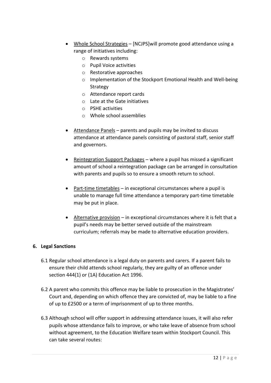- Whole School Strategies [NCJPS]will promote good attendance using a range of initiatives including:
	- o Rewards systems
	- o Pupil Voice activities
	- o Restorative approaches
	- o Implementation of the Stockport Emotional Health and Well-being Strategy
	- o Attendance report cards
	- o Late at the Gate initiatives
	- o PSHE activities
	- o Whole school assemblies
- Attendance Panels parents and pupils may be invited to discuss attendance at attendance panels consisting of pastoral staff, senior staff and governors.
- Reintegration Support Packages where a pupil has missed a significant amount of school a reintegration package can be arranged in consultation with parents and pupils so to ensure a smooth return to school.
- Part-time timetables in exceptional circumstances where a pupil is unable to manage full time attendance a temporary part-time timetable may be put in place.
- Alternative provision in exceptional circumstances where it is felt that a pupil's needs may be better served outside of the mainstream curriculum; referrals may be made to alternative education providers.

# **6. Legal Sanctions**

- 6.1 Regular school attendance is a legal duty on parents and carers. If a parent fails to ensure their child attends school regularly, they are guilty of an offence under section 444(1) or (1A) Education Act 1996.
- 6.2 A parent who commits this offence may be liable to prosecution in the Magistrates' Court and, depending on which offence they are convicted of, may be liable to a fine of up to £2500 or a term of imprisonment of up to three months.
- 6.3 Although school will offer support in addressing attendance issues, it will also refer pupils whose attendance fails to improve, or who take leave of absence from school without agreement, to the Education Welfare team within Stockport Council. This can take several routes: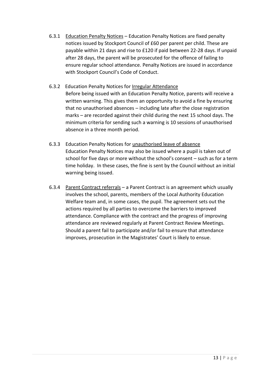- 6.3.1 Education Penalty Notices Education Penalty Notices are fixed penalty notices issued by Stockport Council of £60 per parent per child. These are payable within 21 days and rise to £120 if paid between 22-28 days. If unpaid after 28 days, the parent will be prosecuted for the offence of failing to ensure regular school attendance. Penalty Notices are issued in accordance with Stockport Council's Code of Conduct.
- 6.3.2 Education Penalty Notices for Irregular Attendance Before being issued with an Education Penalty Notice, parents will receive a written warning. This gives them an opportunity to avoid a fine by ensuring that no unauthorised absences – including late after the close registration marks – are recorded against their child during the next 15 school days. The minimum criteria for sending such a warning is 10 sessions of unauthorised absence in a three month period.
- 6.3.3 Education Penalty Notices for unauthorised leave of absence Education Penalty Notices may also be issued where a pupil is taken out of school for five days or more without the school's consent – such as for a term time holiday. In these cases, the fine is sent by the Council without an initial warning being issued.
- 6.3.4 Parent Contract referrals a Parent Contract is an agreement which usually involves the school, parents, members of the Local Authority Education Welfare team and, in some cases, the pupil. The agreement sets out the actions required by all parties to overcome the barriers to improved attendance. Compliance with the contract and the progress of improving attendance are reviewed regularly at Parent Contract Review Meetings. Should a parent fail to participate and/or fail to ensure that attendance improves, prosecution in the Magistrates' Court is likely to ensue.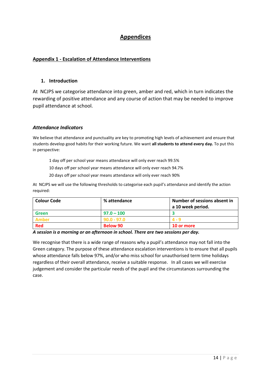# **Appendices**

# **Appendix 1 - Escalation of Attendance Interventions**

#### **1. Introduction**

At NCJPS we categorise attendance into green, amber and red, which in turn indicates the rewarding of positive attendance and any course of action that may be needed to improve pupil attendance at school.

#### *Attendance Indicators*

We believe that attendance and punctuality are key to promoting high levels of achievement and ensure that students develop good habits for their working future. We want **all students to attend every day.** To put this in perspective:

1 day off per school year means attendance will only ever reach 99.5%

10 days off per school year means attendance will only ever reach 94.7%

20 days off per school year means attendance will only ever reach 90%

At NCJPS we will use the following thresholds to categorise each pupil's attendance and identify the action required:

| <b>Colour Code</b> | % attendance    | Number of sessions absent in<br>a 10 week period. |
|--------------------|-----------------|---------------------------------------------------|
| <b>Green</b>       | $97.0 - 100$    |                                                   |
| Amber              | $90.0 - 97.0$   |                                                   |
| <b>Red</b>         | <b>Below 90</b> | <b>10 or more</b>                                 |

*A session is a morning or an afternoon in school. There are two sessions per day.*

We recognise that there is a wide range of reasons why a pupil's attendance may not fall into the Green category. The purpose of these attendance escalation interventions is to ensure that all pupils whose attendance falls below 97%, and/or who miss school for unauthorised term time holidays regardless of their overall attendance, receive a suitable response. In all cases we will exercise judgement and consider the particular needs of the pupil and the circumstances surrounding the case.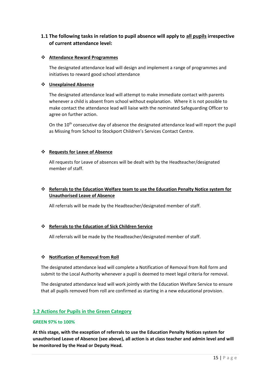# **1.1 The following tasks in relation to pupil absence will apply to all pupils irrespective of current attendance level:**

#### ❖ **Attendance Reward Programmes**

The designated attendance lead will design and implement a range of programmes and initiatives to reward good school attendance

#### ❖ **Unexplained Absence**

The designated attendance lead will attempt to make immediate contact with parents whenever a child is absent from school without explanation. Where it is not possible to make contact the attendance lead will liaise with the nominated Safeguarding Officer to agree on further action.

On the 10<sup>th</sup> consecutive day of absence the designated attendance lead will report the pupil as Missing from School to Stockport Children's Services Contact Centre.

#### ❖ **Requests for Leave of Absence**

All requests for Leave of absences will be dealt with by the Headteacher/designated member of staff.

# ❖ **Referrals to the Education Welfare team to use the Education Penalty Notice system for Unauthorised Leave of Absence**

All referrals will be made by the Headteacher/designated member of staff.

## ❖ **Referrals to the Education of Sick Children Service**

All referrals will be made by the Headteacher/designated member of staff.

#### ❖ **Notification of Removal from Roll**

The designated attendance lead will complete a Notification of Removal from Roll form and submit to the Local Authority whenever a pupil is deemed to meet legal criteria for removal.

The designated attendance lead will work jointly with the Education Welfare Service to ensure that all pupils removed from roll are confirmed as starting in a new educational provision.

## **1.2 Actions for Pupils in the Green Category**

#### **GREEN 97% to 100%**

**At this stage, with the exception of referrals to use the Education Penalty Notices system for unauthorised Leave of Absence (see above), all action is at class teacher and admin level and will be monitored by the Head or Deputy Head.**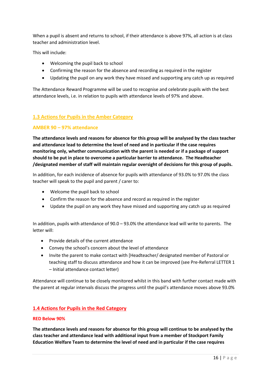When a pupil is absent and returns to school, if their attendance is above 97%, all action is at class teacher and administration level.

This will include:

- Welcoming the pupil back to school
- Confirming the reason for the absence and recording as required in the register
- Updating the pupil on any work they have missed and supporting any catch up as required

The Attendance Reward Programme will be used to recognise and celebrate pupils with the best attendance levels, i.e. in relation to pupils with attendance levels of 97% and above.

## **1.3 Actions for Pupils in the Amber Category**

#### **AMBER 90 – 97% attendance**

**The attendance levels and reasons for absence for this group will be analysed by the class teacher and attendance lead to determine the level of need and in particular if the case requires monitoring only, whether communication with the parent is needed or if a package of support should to be put in place to overcome a particular barrier to attendance. The Headteacher /designated member of staff will maintain regular oversight of decisions for this group of pupils.** 

In addition, for each incidence of absence for pupils with attendance of 93.0% to 97.0% the class teacher will speak to the pupil and parent / carer to:

- Welcome the pupil back to school
- Confirm the reason for the absence and record as required in the register
- Update the pupil on any work they have missed and supporting any catch up as required

In addition, pupils with attendance of 90.0 – 93.0% the attendance lead will write to parents. The letter will:

- Provide details of the current attendance
- Convey the school's concern about the level of attendance
- Invite the parent to make contact with [Headteacher/ designated member of Pastoral or teaching staff to discuss attendance and how it can be improved (see Pre-Referral LETTER 1 – Initial attendance contact letter)

Attendance will continue to be closely monitored whilst in this band with further contact made with the parent at regular intervals discuss the progress until the pupil's attendance moves above 93.0%

## **1.4 Actions for Pupils in the Red Category**

#### **RED Below 90%**

**The attendance levels and reasons for absence for this group will continue to be analysed by the class teacher and attendance lead with additional input from a member of Stockport Family Education Welfare Team to determine the level of need and in particular if the case requires**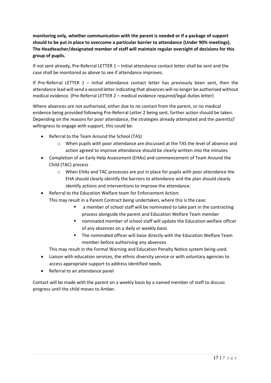**monitoring only, whether communication with the parent is needed or if a package of support should to be put in place to overcome a particular barrier to attendance (Under 90% meetings). The Headteacher/designated member of staff will maintain regular oversight of decisions for this group of pupils.** 

If not sent already, Pre-Referral LETTER 1 – Initial attendance contact letter shall be sent and the case shall be monitored as above to see if attendance improves.

If Pre-Referral LETTER 1 – Initial attendance contact letter has previously been sent, then the attendance lead will send a second letter indicating that absences will no longer be authorised without medical evidence. (Pre-Referral LETTER 2 – medical evidence required/legal duties letter)

Where absences are not authorised, either due to no contact from the parent, or no medical evidence being provided following Pre-Referral Letter 2 being sent, further action should be taken. Depending on the reasons for poor attendance, the strategies already attempted and the parent(s)' willingness to engage with support, this could be:

- Referral to the Team Around the School (TAS)
	- o When pupils with poor attendance are discussed at the TAS the level of absence and action agreed to improve attendance should be clearly written into the minutes
- Completion of an Early Help Assessment (EHAs) and commencement of Team Around the Child (TAC) process
	- o When EHAs and TAC processes are put in place for pupils with poor attendance the EHA should clearly identify the barriers to attendance and the plan should clearly identify actions and interventions to improve the attendance.
- Referral to the Education Welfare team for Enforcement Action:

This may result in a Parent Contract being undertaken, where this is the case:

- a member of school staff will be nominated to take part in the contracting process alongside the parent and Education Welfare Team member
- nominated member of school staff will update the Education welfare officer of any absences on a daily or weekly basis
- The nominated officer will liaise directly with the Education Welfare Team member before authorising any absences

This may result in the Formal Warning and Education Penalty Notice system being used.

- Liaison with education services, the ethnic diversity service or with voluntary agencies to access appropriate support to address identified needs.
- Referral to an attendance panel

Contact will be made with the parent on a weekly basis by a named member of staff to discuss progress until the child moves to Amber.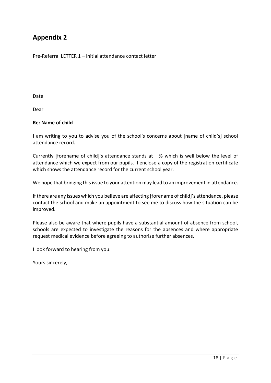# **Appendix 2**

Pre-Referral LETTER 1 – Initial attendance contact letter

Date

Dear

# **Re: Name of child**

I am writing to you to advise you of the school's concerns about [name of child's] school attendance record.

Currently [forename of child]'s attendance stands at % which is well below the level of attendance which we expect from our pupils. I enclose a copy of the registration certificate which shows the attendance record for the current school year.

We hope that bringing this issue to your attention may lead to an improvement in attendance.

If there are any issues which you believe are affecting [forename of child]'s attendance, please contact the school and make an appointment to see me to discuss how the situation can be improved.

Please also be aware that where pupils have a substantial amount of absence from school, schools are expected to investigate the reasons for the absences and where appropriate request medical evidence before agreeing to authorise further absences.

I look forward to hearing from you.

Yours sincerely,